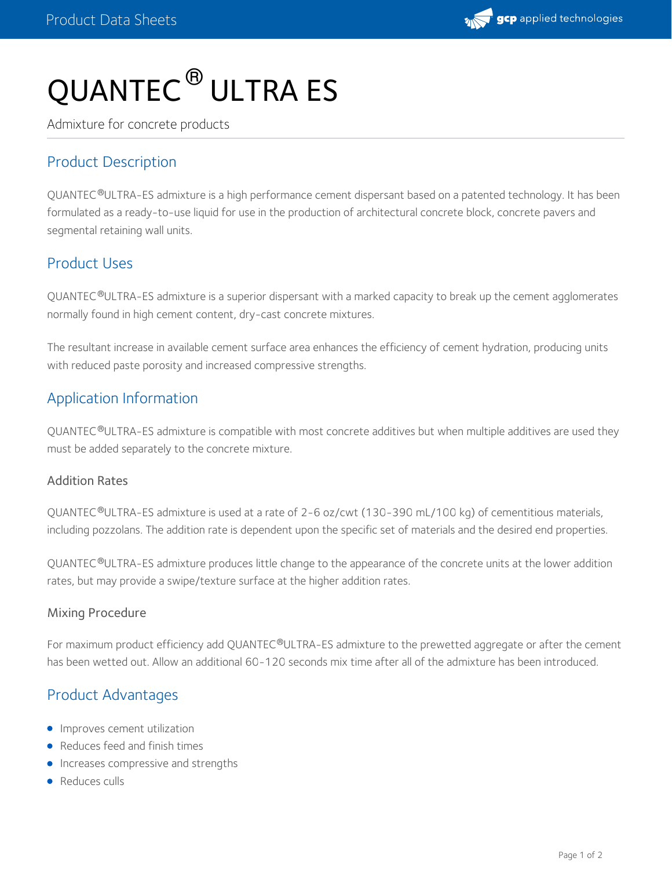# QUANTEC  $^\circledR$  ULTRA ES

Admixture for concrete products

## Product Description

QUANTEC®ULTRA-ES admixture is a high performance cement dispersant based on a patented technology. It has been formulated as a ready-to-use liquid for use in the production of architectural concrete block, concrete pavers and segmental retaining wall units.

#### Product Uses

QUANTEC®ULTRA-ES admixture is a superior dispersant with a marked capacity to break up the cement agglomerates normally found in high cement content, dry-cast concrete mixtures.

The resultant increase in available cement surface area enhances the efficiency of cement hydration, producing units with reduced paste porosity and increased compressive strengths.

### Application Information

 $\sf QUANTEC^@ULTRA-ES$  admixture is compatible with most concrete additives but when multiple additives are used they must be added separately to the concrete mixture.

#### Addition Rates

QUANTEC®ULTRA-ES admixture is used at a rate of 2-6 oz/cwt (130-390 mL/100 kg) of cementitious materials, including pozzolans. The addition rate is dependent upon the specific set of materials and the desired end properties.

QUANTEC®ULTRA-ES admixture produces little change to the appearance of the concrete units at the lower addition rates, but may provide a swipe/texture surface at the higher addition rates.

#### Mixing Procedure

For maximum product efficiency add QUANTEC®ULTRA-ES admixture to the prewetted aggregate or after the cement has been wetted out. Allow an additional 60-120 seconds mix time after all of the admixture has been introduced.

#### Product Advantages

- **Improves cement utilization**
- Reduces feed and finish times
- **Increases compressive and strengths**
- **Reduces culls**